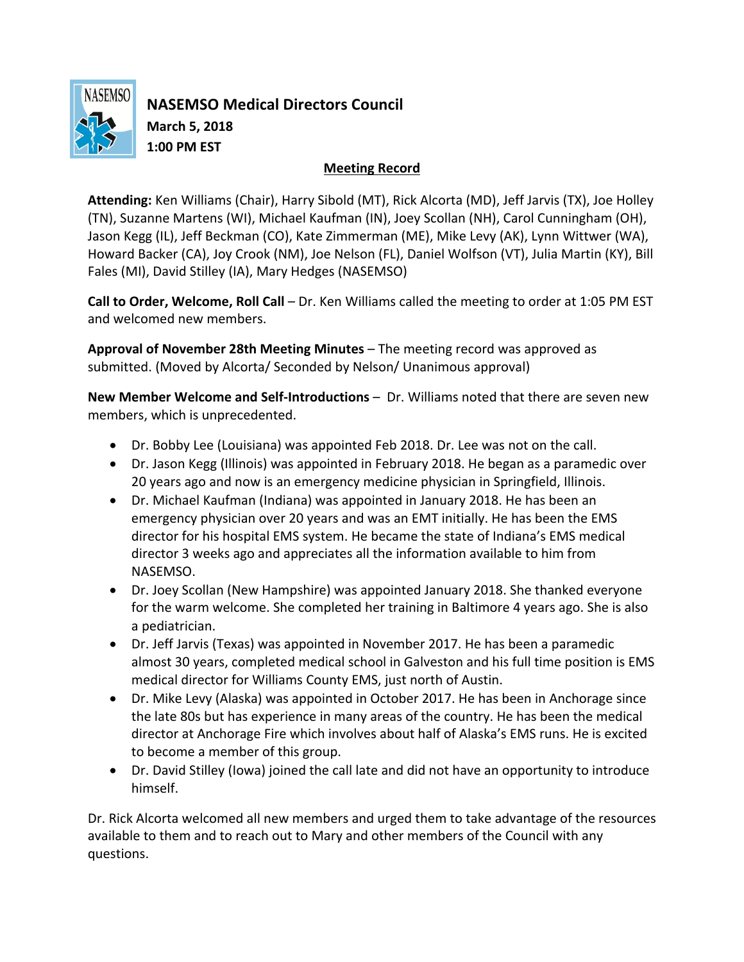

**NASEMSO Medical Directors Council March 5, 2018 1:00 PM EST**

## **Meeting Record**

**Attending:** Ken Williams (Chair), Harry Sibold (MT), Rick Alcorta (MD), Jeff Jarvis (TX), Joe Holley (TN), Suzanne Martens (WI), Michael Kaufman (IN), Joey Scollan (NH), Carol Cunningham (OH), Jason Kegg (IL), Jeff Beckman (CO), Kate Zimmerman (ME), Mike Levy (AK), Lynn Wittwer (WA), Howard Backer (CA), Joy Crook (NM), Joe Nelson (FL), Daniel Wolfson (VT), Julia Martin (KY), Bill Fales (MI), David Stilley (IA), Mary Hedges (NASEMSO)

**Call to Order, Welcome, Roll Call** – Dr. Ken Williams called the meeting to order at 1:05 PM EST and welcomed new members.

**Approval of November 28th Meeting Minutes** – The meeting record was approved as submitted. (Moved by Alcorta/ Seconded by Nelson/ Unanimous approval)

**New Member Welcome and Self-Introductions** – Dr. Williams noted that there are seven new members, which is unprecedented.

- Dr. Bobby Lee (Louisiana) was appointed Feb 2018. Dr. Lee was not on the call.
- Dr. Jason Kegg (Illinois) was appointed in February 2018. He began as a paramedic over 20 years ago and now is an emergency medicine physician in Springfield, Illinois.
- Dr. Michael Kaufman (Indiana) was appointed in January 2018. He has been an emergency physician over 20 years and was an EMT initially. He has been the EMS director for his hospital EMS system. He became the state of Indiana's EMS medical director 3 weeks ago and appreciates all the information available to him from NASEMSO.
- Dr. Joey Scollan (New Hampshire) was appointed January 2018. She thanked everyone for the warm welcome. She completed her training in Baltimore 4 years ago. She is also a pediatrician.
- Dr. Jeff Jarvis (Texas) was appointed in November 2017. He has been a paramedic almost 30 years, completed medical school in Galveston and his full time position is EMS medical director for Williams County EMS, just north of Austin.
- Dr. Mike Levy (Alaska) was appointed in October 2017. He has been in Anchorage since the late 80s but has experience in many areas of the country. He has been the medical director at Anchorage Fire which involves about half of Alaska's EMS runs. He is excited to become a member of this group.
- Dr. David Stilley (Iowa) joined the call late and did not have an opportunity to introduce himself.

Dr. Rick Alcorta welcomed all new members and urged them to take advantage of the resources available to them and to reach out to Mary and other members of the Council with any questions.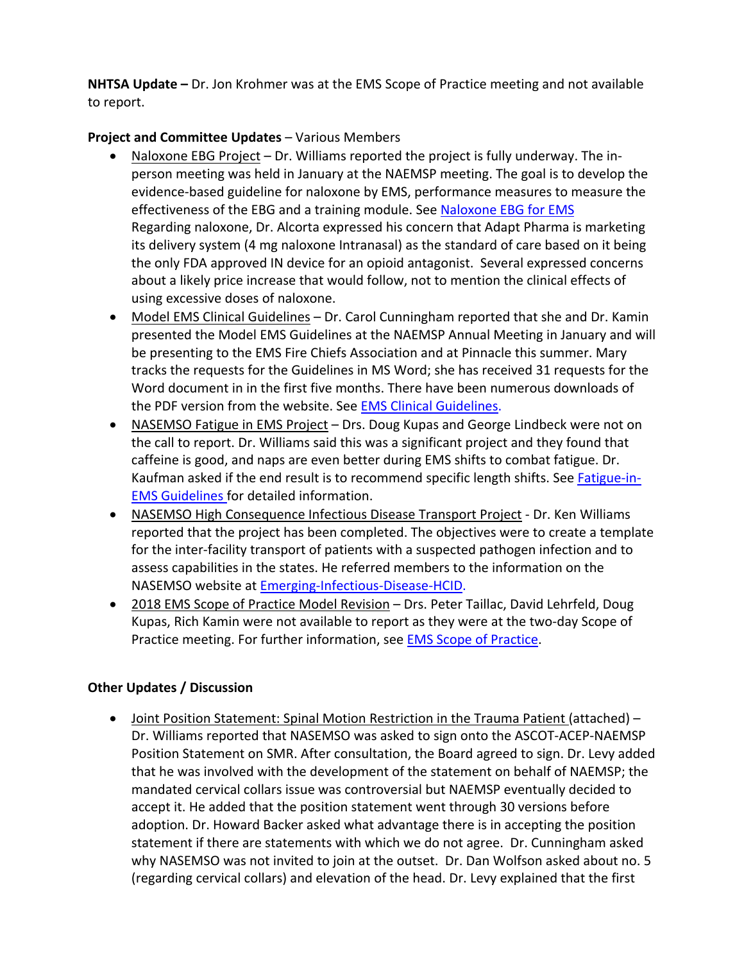**NHTSA Update –** Dr. Jon Krohmer was at the EMS Scope of Practice meeting and not available to report.

## **Project and Committee Updates** – Various Members

- Naloxone EBG Project Dr. Williams reported the project is fully underway. The inperson meeting was held in January at the NAEMSP meeting. The goal is to develop the evidence-based guideline for naloxone by EMS, performance measures to measure the effectiveness of the EBG and a training module. See Naloxone EBG for EMS Regarding naloxone, Dr. Alcorta expressed his concern that Adapt Pharma is marketing its delivery system (4 mg naloxone Intranasal) as the standard of care based on it being the only FDA approved IN device for an opioid antagonist. Several expressed concerns about a likely price increase that would follow, not to mention the clinical effects of using excessive doses of naloxone.
- Model EMS Clinical Guidelines Dr. Carol Cunningham reported that she and Dr. Kamin presented the Model EMS Guidelines at the NAEMSP Annual Meeting in January and will be presenting to the EMS Fire Chiefs Association and at Pinnacle this summer. Mary tracks the requests for the Guidelines in MS Word; she has received 31 requests for the Word document in in the first five months. There have been numerous downloads of the PDF version from the website. See EMS Clinical Guidelines.
- NASEMSO Fatigue in EMS Project Drs. Doug Kupas and George Lindbeck were not on the call to report. Dr. Williams said this was a significant project and they found that caffeine is good, and naps are even better during EMS shifts to combat fatigue. Dr. Kaufman asked if the end result is to recommend specific length shifts. See Fatigue-in-EMS Guidelines for detailed information.
- NASEMSO High Consequence Infectious Disease Transport Project Dr. Ken Williams reported that the project has been completed. The objectives were to create a template for the inter-facility transport of patients with a suspected pathogen infection and to assess capabilities in the states. He referred members to the information on the NASEMSO website at Emerging-Infectious-Disease-HCID.
- 2018 EMS Scope of Practice Model Revision Drs. Peter Taillac, David Lehrfeld, Doug Kupas, Rich Kamin were not available to report as they were at the two-day Scope of Practice meeting. For further information, see EMS Scope of Practice.

## **Other Updates / Discussion**

• Joint Position Statement: Spinal Motion Restriction in the Trauma Patient (attached) – Dr. Williams reported that NASEMSO was asked to sign onto the ASCOT-ACEP-NAEMSP Position Statement on SMR. After consultation, the Board agreed to sign. Dr. Levy added that he was involved with the development of the statement on behalf of NAEMSP; the mandated cervical collars issue was controversial but NAEMSP eventually decided to accept it. He added that the position statement went through 30 versions before adoption. Dr. Howard Backer asked what advantage there is in accepting the position statement if there are statements with which we do not agree. Dr. Cunningham asked why NASEMSO was not invited to join at the outset. Dr. Dan Wolfson asked about no. 5 (regarding cervical collars) and elevation of the head. Dr. Levy explained that the first